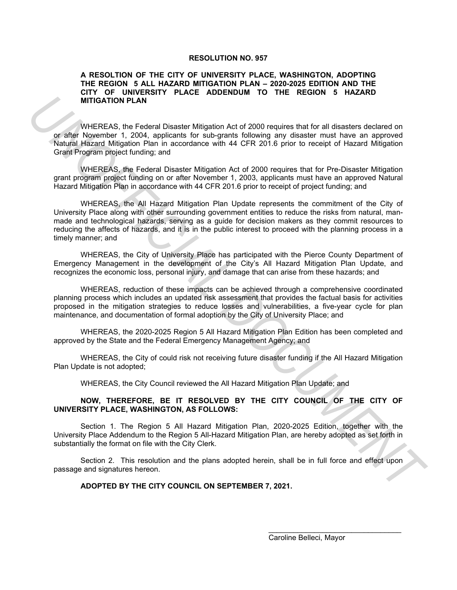#### **RESOLUTION NO. 957**

### **A RESOLTION OF THE CITY OF UNIVERSITY PLACE, WASHINGTON, ADOPTING THE REGION 5 ALL HAZARD MITIGATION PLAN – 2020-2025 EDITION AND THE CITY OF UNIVERSITY PLACE ADDENDUM TO THE REGION 5 HAZARD MITIGATION PLAN**

WHEREAS, the Federal Disaster Mitigation Act of 2000 requires that for all disasters declared on or after November 1, 2004, applicants for sub-grants following any disaster must have an approved Natural Hazard Mitigation Plan in accordance with 44 CFR 201.6 prior to receipt of Hazard Mitigation Grant Program project funding; and

WHEREAS, the Federal Disaster Mitigation Act of 2000 requires that for Pre-Disaster Mitigation grant program project funding on or after November 1, 2003, applicants must have an approved Natural Hazard Mitigation Plan in accordance with 44 CFR 201.6 prior to receipt of project funding; and

WHEREAS, the All Hazard Mitigation Plan Update represents the commitment of the City of University Place along with other surrounding government entities to reduce the risks from natural, manmade and technological hazards, serving as a guide for decision makers as they commit resources to reducing the affects of hazards, and it is in the public interest to proceed with the planning process in a timely manner; and **UNITEDEAS.** Its Ford of the method is the form of the method of the method of the method of the method of the method of the method of the method of the method is the method in the state method is the properties of the met

WHEREAS, the City of University Place has participated with the Pierce County Department of Emergency Management in the development of the City's All Hazard Mitigation Plan Update, and recognizes the economic loss, personal injury, and damage that can arise from these hazards; and

WHEREAS, reduction of these impacts can be achieved through a comprehensive coordinated planning process which includes an updated risk assessment that provides the factual basis for activities proposed in the mitigation strategies to reduce losses and vulnerabilities, a five-year cycle for plan maintenance, and documentation of formal adoption by the City of University Place; and

WHEREAS, the 2020-2025 Region 5 All Hazard Mitigation Plan Edition has been completed and approved by the State and the Federal Emergency Management Agency; and

WHEREAS, the City of could risk not receiving future disaster funding if the All Hazard Mitigation Plan Update is not adopted;

WHEREAS, the City Council reviewed the All Hazard Mitigation Plan Update; and

### **NOW, THEREFORE, BE IT RESOLVED BY THE CITY COUNCIL OF THE CITY OF UNIVERSITY PLACE, WASHINGTON, AS FOLLOWS:**

Section 1. The Region 5 All Hazard Mitigation Plan, 2020-2025 Edition, together with the University Place Addendum to the Region 5 All-Hazard Mitigation Plan, are hereby adopted as set forth in substantially the format on file with the City Clerk.

Section 2. This resolution and the plans adopted herein, shall be in full force and effect upon passage and signatures hereon.

## **ADOPTED BY THE CITY COUNCIL ON SEPTEMBER 7, 2021.**